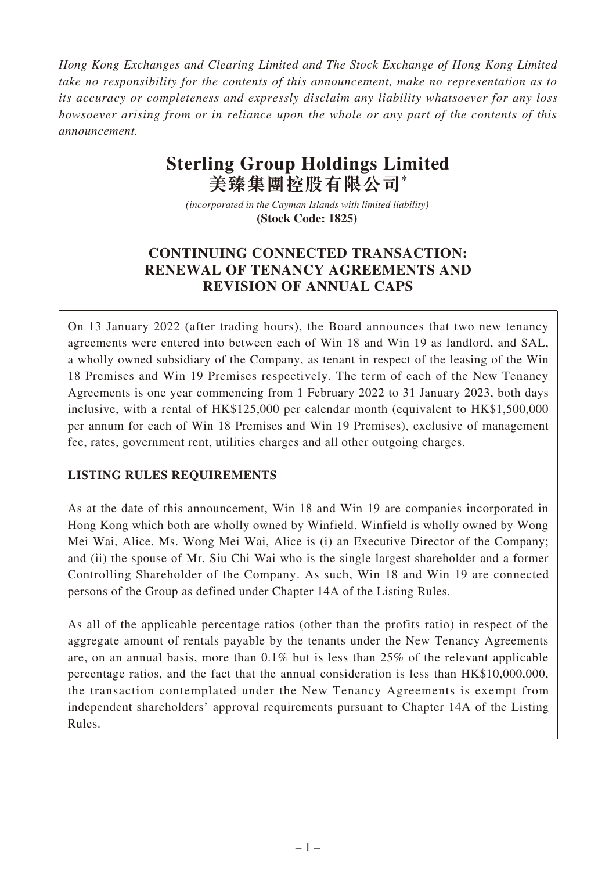*Hong Kong Exchanges and Clearing Limited and The Stock Exchange of Hong Kong Limited take no responsibility for the contents of this announcement, make no representation as to its accuracy or completeness and expressly disclaim any liability whatsoever for any loss howsoever arising from or in reliance upon the whole or any part of the contents of this announcement.*

# **Sterling Group Holdings Limited 美臻集團控股有限公司\***

*(incorporated in the Cayman Islands with limited liability)*  **(Stock Code: 1825)** 

# **CONTINUING CONNECTED TRANSACTION: RENEWAL OF TENANCY AGREEMENTS AND REVISION OF ANNUAL CAPS**

On 13 January 2022 (after trading hours), the Board announces that two new tenancy agreements were entered into between each of Win 18 and Win 19 as landlord, and SAL, a wholly owned subsidiary of the Company, as tenant in respect of the leasing of the Win 18 Premises and Win 19 Premises respectively. The term of each of the New Tenancy Agreements is one year commencing from 1 February 2022 to 31 January 2023, both days inclusive, with a rental of HK\$125,000 per calendar month (equivalent to HK\$1,500,000 per annum for each of Win 18 Premises and Win 19 Premises), exclusive of management fee, rates, government rent, utilities charges and all other outgoing charges.

# **LISTING RULES REQUIREMENTS**

As at the date of this announcement, Win 18 and Win 19 are companies incorporated in Hong Kong which both are wholly owned by Winfield. Winfield is wholly owned by Wong Mei Wai, Alice. Ms. Wong Mei Wai, Alice is (i) an Executive Director of the Company; and (ii) the spouse of Mr. Siu Chi Wai who is the single largest shareholder and a former Controlling Shareholder of the Company. As such, Win 18 and Win 19 are connected persons of the Group as defined under Chapter 14A of the Listing Rules.

As all of the applicable percentage ratios (other than the profits ratio) in respect of the aggregate amount of rentals payable by the tenants under the New Tenancy Agreements are, on an annual basis, more than 0.1% but is less than 25% of the relevant applicable percentage ratios, and the fact that the annual consideration is less than HK\$10,000,000, the transaction contemplated under the New Tenancy Agreements is exempt from independent shareholders' approval requirements pursuant to Chapter 14A of the Listing Rules.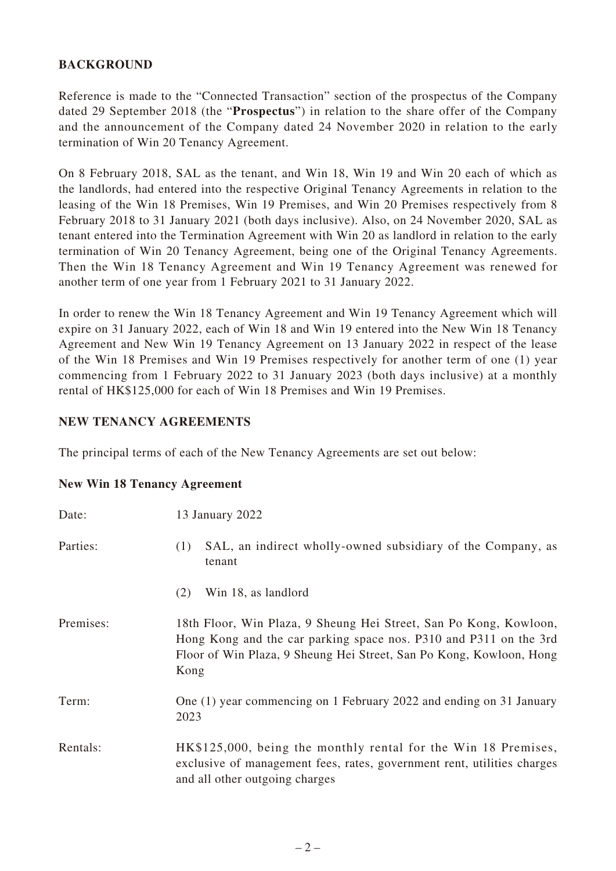# **BACKGROUND**

Reference is made to the "Connected Transaction" section of the prospectus of the Company dated 29 September 2018 (the "**Prospectus**") in relation to the share offer of the Company and the announcement of the Company dated 24 November 2020 in relation to the early termination of Win 20 Tenancy Agreement.

On 8 February 2018, SAL as the tenant, and Win 18, Win 19 and Win 20 each of which as the landlords, had entered into the respective Original Tenancy Agreements in relation to the leasing of the Win 18 Premises, Win 19 Premises, and Win 20 Premises respectively from 8 February 2018 to 31 January 2021 (both days inclusive). Also, on 24 November 2020, SAL as tenant entered into the Termination Agreement with Win 20 as landlord in relation to the early termination of Win 20 Tenancy Agreement, being one of the Original Tenancy Agreements. Then the Win 18 Tenancy Agreement and Win 19 Tenancy Agreement was renewed for another term of one year from 1 February 2021 to 31 January 2022.

In order to renew the Win 18 Tenancy Agreement and Win 19 Tenancy Agreement which will expire on 31 January 2022, each of Win 18 and Win 19 entered into the New Win 18 Tenancy Agreement and New Win 19 Tenancy Agreement on 13 January 2022 in respect of the lease of the Win 18 Premises and Win 19 Premises respectively for another term of one (1) year commencing from 1 February 2022 to 31 January 2023 (both days inclusive) at a monthly rental of HK\$125,000 for each of Win 18 Premises and Win 19 Premises.

#### **NEW TENANCY AGREEMENTS**

The principal terms of each of the New Tenancy Agreements are set out below:

|  |  |  |  | <b>New Win 18 Tenancy Agreement</b> |
|--|--|--|--|-------------------------------------|
|--|--|--|--|-------------------------------------|

| Date:     | 13 January 2022                                                                                                                                                                                                       |
|-----------|-----------------------------------------------------------------------------------------------------------------------------------------------------------------------------------------------------------------------|
| Parties:  | SAL, an indirect wholly-owned subsidiary of the Company, as<br>(1)<br>tenant                                                                                                                                          |
|           | Win 18, as landlord<br>(2)                                                                                                                                                                                            |
| Premises: | 18th Floor, Win Plaza, 9 Sheung Hei Street, San Po Kong, Kowloon,<br>Hong Kong and the car parking space nos. P310 and P311 on the 3rd<br>Floor of Win Plaza, 9 Sheung Hei Street, San Po Kong, Kowloon, Hong<br>Kong |
| Term:     | One (1) year commencing on 1 February 2022 and ending on 31 January<br>2023                                                                                                                                           |
| Rentals:  | HK\$125,000, being the monthly rental for the Win 18 Premises,<br>exclusive of management fees, rates, government rent, utilities charges<br>and all other outgoing charges                                           |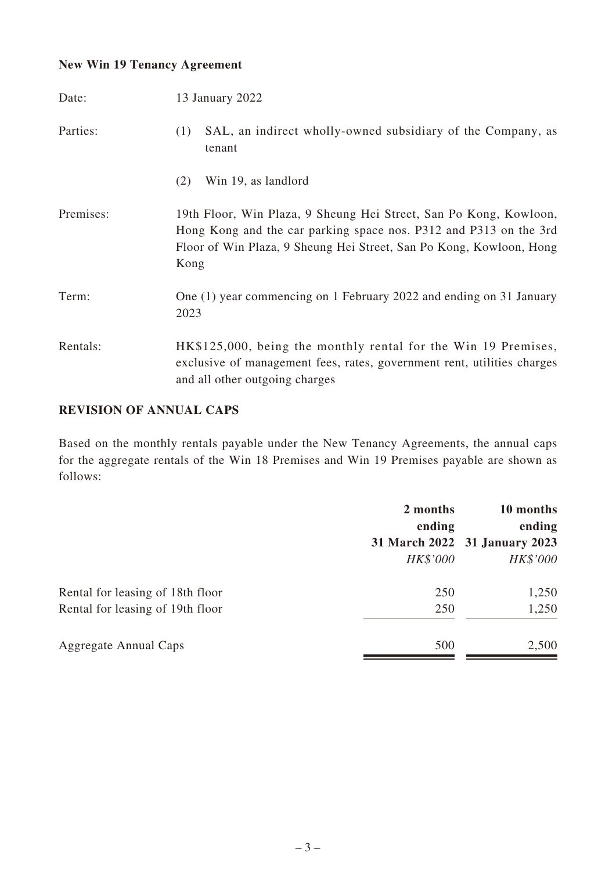# **New Win 19 Tenancy Agreement**

| Date:     | 13 January 2022                                                                                                                                                                                                       |
|-----------|-----------------------------------------------------------------------------------------------------------------------------------------------------------------------------------------------------------------------|
| Parties:  | SAL, an indirect wholly-owned subsidiary of the Company, as<br>(1)<br>tenant                                                                                                                                          |
|           | Win 19, as landlord<br>(2)                                                                                                                                                                                            |
| Premises: | 19th Floor, Win Plaza, 9 Sheung Hei Street, San Po Kong, Kowloon,<br>Hong Kong and the car parking space nos. P312 and P313 on the 3rd<br>Floor of Win Plaza, 9 Sheung Hei Street, San Po Kong, Kowloon, Hong<br>Kong |
| Term:     | One (1) year commencing on 1 February 2022 and ending on 31 January<br>2023                                                                                                                                           |
| Rentals:  | HK\$125,000, being the monthly rental for the Win 19 Premises,<br>exclusive of management fees, rates, government rent, utilities charges<br>and all other outgoing charges                                           |

#### **REVISION OF ANNUAL CAPS**

Based on the monthly rentals payable under the New Tenancy Agreements, the annual caps for the aggregate rentals of the Win 18 Premises and Win 19 Premises payable are shown as follows:

|                                  | 2 months<br>ending | 10 months<br>ending           |
|----------------------------------|--------------------|-------------------------------|
|                                  |                    | 31 March 2022 31 January 2023 |
|                                  | HK\$'000           | HK\$'000                      |
| Rental for leasing of 18th floor | 250                | 1,250                         |
| Rental for leasing of 19th floor | 250                | 1,250                         |
| <b>Aggregate Annual Caps</b>     | 500                | 2,500                         |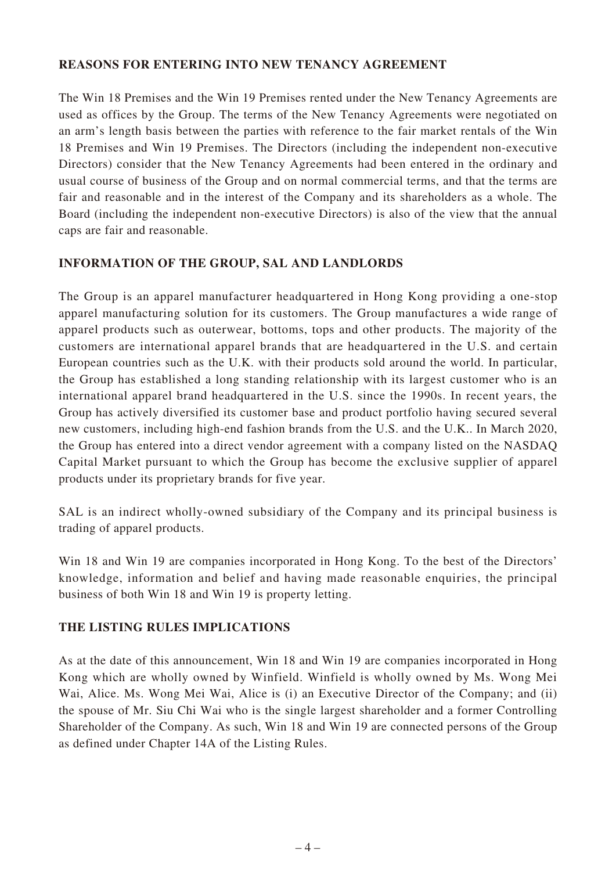#### **REASONS FOR ENTERING INTO NEW TENANCY AGREEMENT**

The Win 18 Premises and the Win 19 Premises rented under the New Tenancy Agreements are used as offices by the Group. The terms of the New Tenancy Agreements were negotiated on an arm's length basis between the parties with reference to the fair market rentals of the Win 18 Premises and Win 19 Premises. The Directors (including the independent non-executive Directors) consider that the New Tenancy Agreements had been entered in the ordinary and usual course of business of the Group and on normal commercial terms, and that the terms are fair and reasonable and in the interest of the Company and its shareholders as a whole. The Board (including the independent non-executive Directors) is also of the view that the annual caps are fair and reasonable.

# **INFORMATION OF THE GROUP, SAL AND LANDLORDS**

The Group is an apparel manufacturer headquartered in Hong Kong providing a one-stop apparel manufacturing solution for its customers. The Group manufactures a wide range of apparel products such as outerwear, bottoms, tops and other products. The majority of the customers are international apparel brands that are headquartered in the U.S. and certain European countries such as the U.K. with their products sold around the world. In particular, the Group has established a long standing relationship with its largest customer who is an international apparel brand headquartered in the U.S. since the 1990s. In recent years, the Group has actively diversified its customer base and product portfolio having secured several new customers, including high-end fashion brands from the U.S. and the U.K.. In March 2020, the Group has entered into a direct vendor agreement with a company listed on the NASDAQ Capital Market pursuant to which the Group has become the exclusive supplier of apparel products under its proprietary brands for five year.

SAL is an indirect wholly-owned subsidiary of the Company and its principal business is trading of apparel products.

Win 18 and Win 19 are companies incorporated in Hong Kong. To the best of the Directors' knowledge, information and belief and having made reasonable enquiries, the principal business of both Win 18 and Win 19 is property letting.

# **THE LISTING RULES IMPLICATIONS**

As at the date of this announcement, Win 18 and Win 19 are companies incorporated in Hong Kong which are wholly owned by Winfield. Winfield is wholly owned by Ms. Wong Mei Wai, Alice. Ms. Wong Mei Wai, Alice is (i) an Executive Director of the Company; and (ii) the spouse of Mr. Siu Chi Wai who is the single largest shareholder and a former Controlling Shareholder of the Company. As such, Win 18 and Win 19 are connected persons of the Group as defined under Chapter 14A of the Listing Rules.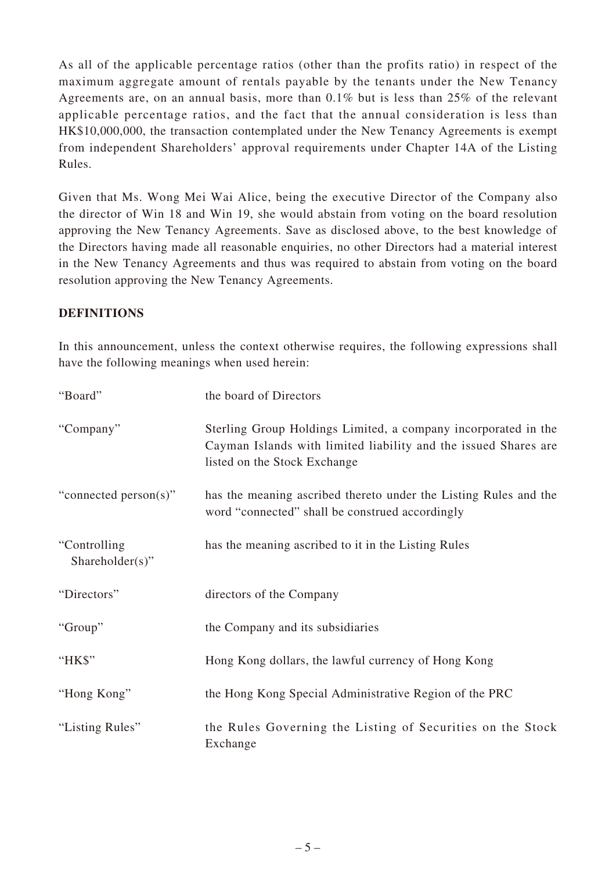As all of the applicable percentage ratios (other than the profits ratio) in respect of the maximum aggregate amount of rentals payable by the tenants under the New Tenancy Agreements are, on an annual basis, more than 0.1% but is less than 25% of the relevant applicable percentage ratios, and the fact that the annual consideration is less than HK\$10,000,000, the transaction contemplated under the New Tenancy Agreements is exempt from independent Shareholders' approval requirements under Chapter 14A of the Listing Rules.

Given that Ms. Wong Mei Wai Alice, being the executive Director of the Company also the director of Win 18 and Win 19, she would abstain from voting on the board resolution approving the New Tenancy Agreements. Save as disclosed above, to the best knowledge of the Directors having made all reasonable enquiries, no other Directors had a material interest in the New Tenancy Agreements and thus was required to abstain from voting on the board resolution approving the New Tenancy Agreements.

# **DEFINITIONS**

In this announcement, unless the context otherwise requires, the following expressions shall have the following meanings when used herein:

| "Board"                         | the board of Directors                                                                                                                                            |
|---------------------------------|-------------------------------------------------------------------------------------------------------------------------------------------------------------------|
| "Company"                       | Sterling Group Holdings Limited, a company incorporated in the<br>Cayman Islands with limited liability and the issued Shares are<br>listed on the Stock Exchange |
| "connected person(s)"           | has the meaning ascribed thereto under the Listing Rules and the<br>word "connected" shall be construed accordingly                                               |
| "Controlling<br>Shareholder(s)" | has the meaning ascribed to it in the Listing Rules                                                                                                               |
| "Directors"                     | directors of the Company                                                                                                                                          |
| "Group"                         | the Company and its subsidiaries                                                                                                                                  |
| "HK\$"                          | Hong Kong dollars, the lawful currency of Hong Kong                                                                                                               |
| "Hong Kong"                     | the Hong Kong Special Administrative Region of the PRC                                                                                                            |
| "Listing Rules"                 | the Rules Governing the Listing of Securities on the Stock<br>Exchange                                                                                            |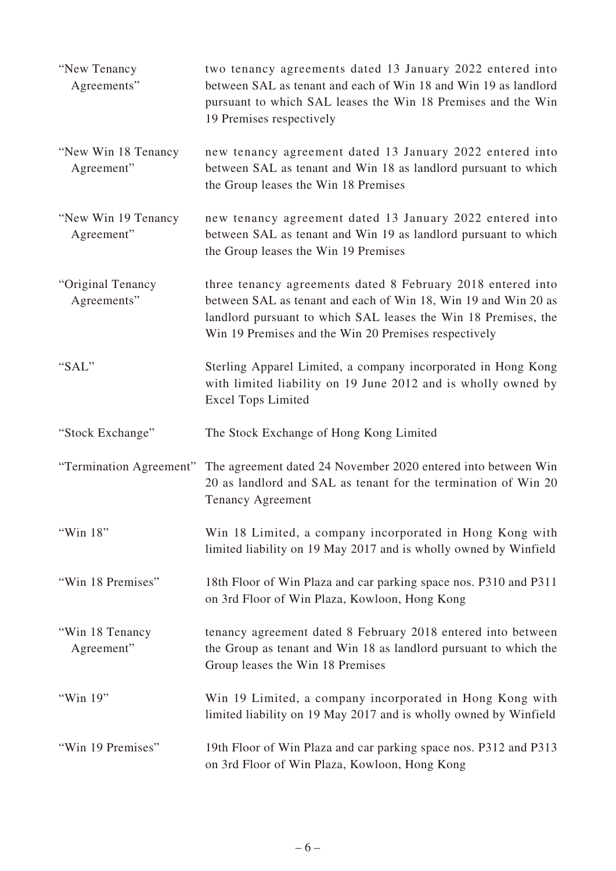| "New Tenancy"<br>Agreements"       | two tenancy agreements dated 13 January 2022 entered into<br>between SAL as tenant and each of Win 18 and Win 19 as landlord<br>pursuant to which SAL leases the Win 18 Premises and the Win<br>19 Premises respectively                                |
|------------------------------------|---------------------------------------------------------------------------------------------------------------------------------------------------------------------------------------------------------------------------------------------------------|
| "New Win 18 Tenancy"<br>Agreement" | new tenancy agreement dated 13 January 2022 entered into<br>between SAL as tenant and Win 18 as landlord pursuant to which<br>the Group leases the Win 18 Premises                                                                                      |
| "New Win 19 Tenancy"<br>Agreement" | new tenancy agreement dated 13 January 2022 entered into<br>between SAL as tenant and Win 19 as landlord pursuant to which<br>the Group leases the Win 19 Premises                                                                                      |
| "Original Tenancy<br>Agreements"   | three tenancy agreements dated 8 February 2018 entered into<br>between SAL as tenant and each of Win 18, Win 19 and Win 20 as<br>landlord pursuant to which SAL leases the Win 18 Premises, the<br>Win 19 Premises and the Win 20 Premises respectively |
| "SAL"                              | Sterling Apparel Limited, a company incorporated in Hong Kong<br>with limited liability on 19 June 2012 and is wholly owned by<br><b>Excel Tops Limited</b>                                                                                             |
|                                    |                                                                                                                                                                                                                                                         |
| "Stock Exchange"                   | The Stock Exchange of Hong Kong Limited                                                                                                                                                                                                                 |
|                                    | "Termination Agreement" The agreement dated 24 November 2020 entered into between Win<br>20 as landlord and SAL as tenant for the termination of Win 20<br><b>Tenancy Agreement</b>                                                                     |
| "Win 18"                           | Win 18 Limited, a company incorporated in Hong Kong with<br>limited liability on 19 May 2017 and is wholly owned by Winfield                                                                                                                            |
| "Win 18 Premises"                  | 18th Floor of Win Plaza and car parking space nos. P310 and P311<br>on 3rd Floor of Win Plaza, Kowloon, Hong Kong                                                                                                                                       |
| "Win 18 Tenancy<br>Agreement"      | tenancy agreement dated 8 February 2018 entered into between<br>the Group as tenant and Win 18 as landlord pursuant to which the<br>Group leases the Win 18 Premises                                                                                    |
| "Win 19"                           | Win 19 Limited, a company incorporated in Hong Kong with<br>limited liability on 19 May 2017 and is wholly owned by Winfield                                                                                                                            |